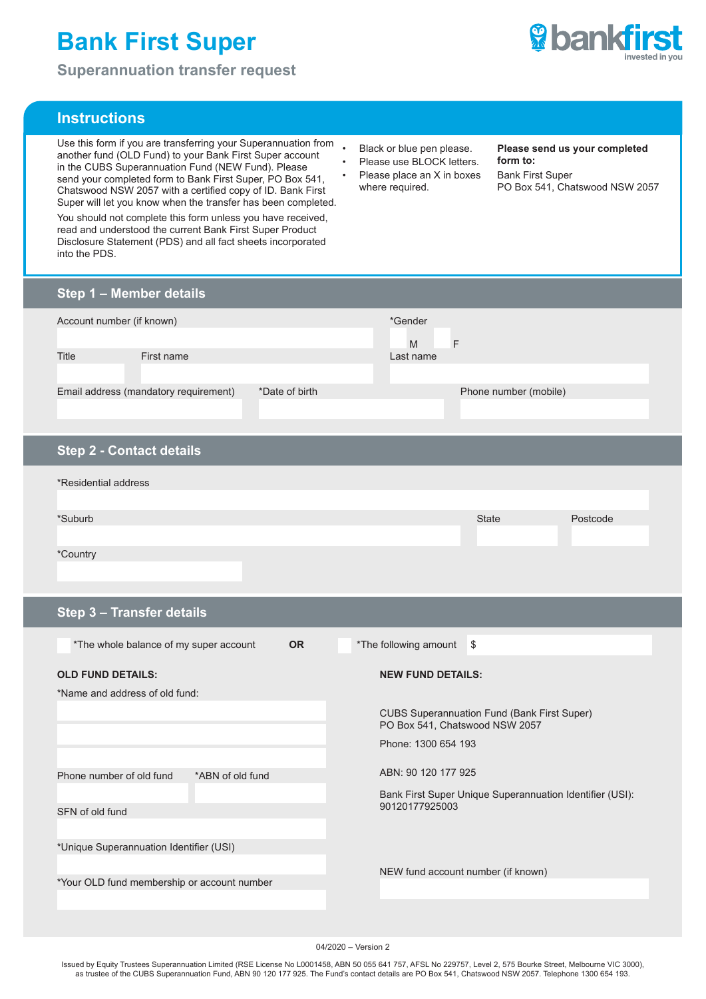# **Bank First Super**

**Superannuation transfer request**



# **Instructions**

Use this form if you are transferring your Superannuation from . another fund (OLD Fund) to your Bank First Super account in the CUBS Superannuation Fund (NEW Fund). Please send your completed form to Bank First Super, PO Box 541, Chatswood NSW 2057 with a certified copy of ID. Bank First Super will let you know when the transfer has been completed.

You should not complete this form unless you have received, read and understood the current Bank First Super Product Disclosure Statement (PDS) and all fact sheets incorporated into the PDS.

- Black or blue pen please.
- Please use BLOCK letters.
- Please place an X in boxes where required.

**Please send us your completed form to:** Bank First Super PO Box 541, Chatswood NSW 2057

# **Step 1 – Member details**

| Account number (if known)       |                                       |                | *Gender<br>M | F                     |          |  |
|---------------------------------|---------------------------------------|----------------|--------------|-----------------------|----------|--|
| <b>Title</b>                    | First name                            |                | Last name    |                       |          |  |
|                                 | Email address (mandatory requirement) | *Date of birth |              | Phone number (mobile) |          |  |
| <b>Step 2 - Contact details</b> |                                       |                |              |                       |          |  |
| *Residential address            |                                       |                |              |                       |          |  |
| *Suburb                         |                                       |                |              | <b>State</b>          | Postcode |  |
| *Country                        |                                       |                |              |                       |          |  |

### **Step 3 – Transfer details**

| *The whole balance of my super account      | <b>OR</b>        |  | <i>*</i> The following amount $$$                                                    |                                    |                                                          |
|---------------------------------------------|------------------|--|--------------------------------------------------------------------------------------|------------------------------------|----------------------------------------------------------|
| <b>OLD FUND DETAILS:</b>                    |                  |  | <b>NEW FUND DETAILS:</b>                                                             |                                    |                                                          |
| *Name and address of old fund:              |                  |  |                                                                                      |                                    |                                                          |
|                                             |                  |  | <b>CUBS Superannuation Fund (Bank First Super)</b><br>PO Box 541, Chatswood NSW 2057 |                                    |                                                          |
|                                             |                  |  |                                                                                      | Phone: 1300 654 193                |                                                          |
| Phone number of old fund                    | *ABN of old fund |  |                                                                                      | ABN: 90 120 177 925                |                                                          |
|                                             |                  |  |                                                                                      |                                    | Bank First Super Unique Superannuation Identifier (USI): |
| SFN of old fund                             |                  |  | 90120177925003                                                                       |                                    |                                                          |
|                                             |                  |  |                                                                                      |                                    |                                                          |
| *Unique Superannuation Identifier (USI)     |                  |  |                                                                                      |                                    |                                                          |
|                                             |                  |  |                                                                                      | NEW fund account number (if known) |                                                          |
| *Your OLD fund membership or account number |                  |  |                                                                                      |                                    |                                                          |
|                                             |                  |  |                                                                                      |                                    |                                                          |
|                                             |                  |  |                                                                                      |                                    |                                                          |

04/2020 – Version 2

Issued by Equity Trustees Superannuation Limited (RSE License No L0001458, ABN 50 055 641 757, AFSL No 229757, Level 2, 575 Bourke Street, Melbourne VIC 3000), as trustee of the CUBS Superannuation Fund, ABN 90 120 177 925. The Fund's contact details are PO Box 541, Chatswood NSW 2057. Telephone 1300 654 193.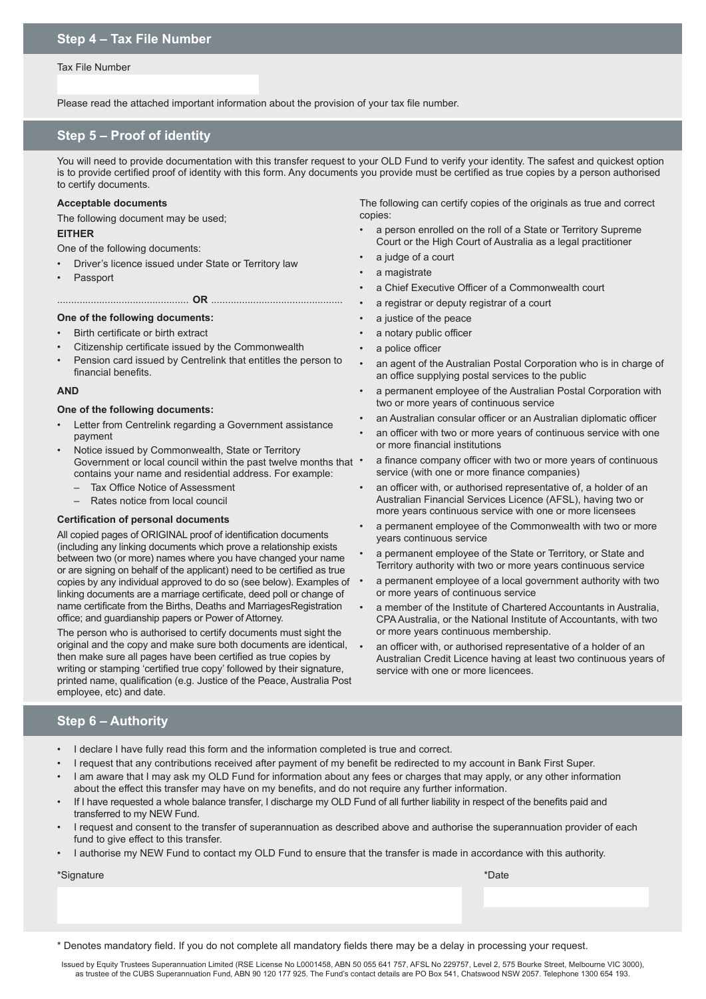#### Tax File Number

Please read the attached important information about the provision of your tax file number.

### **Step 5 – Proof of identity**

You will need to provide documentation with this transfer request to your OLD Fund to verify your identity. The safest and quickest option is to provide certified proof of identity with this form. Any documents you provide must be certified as true copies by a person authorised to certify documents.

#### **Acceptable documents**

The following document may be used;

#### **EITHER**

One of the following documents:

- Driver's licence issued under State or Territory law
- **Passport**
- ............................................... **OR** ...............................................

## **One of the following documents:**

- Birth certificate or birth extract
- Citizenship certificate issued by the Commonwealth
- Pension card issued by Centrelink that entitles the person to financial benefits.

#### **AND**

#### **One of the following documents:**

- Letter from Centrelink regarding a Government assistance payment
- Notice issued by Commonwealth, State or Territory Government or local council within the past twelve months that  $\cdot$ contains your name and residential address. For example:
	- Tax Office Notice of Assessment
	- Rates notice from local council

#### **Certification of personal documents**

All copied pages of ORIGINAL proof of identification documents (including any linking documents which prove a relationship exists between two (or more) names where you have changed your name or are signing on behalf of the applicant) need to be certified as true copies by any individual approved to do so (see below). Examples of linking documents are a marriage certificate, deed poll or change of name certificate from the Births, Deaths and MarriagesRegistration office; and guardianship papers or Power of Attorney.

The person who is authorised to certify documents must sight the original and the copy and make sure both documents are identical, then make sure all pages have been certified as true copies by writing or stamping 'certified true copy' followed by their signature, printed name, qualification (e.g. Justice of the Peace, Australia Post employee, etc) and date.

# **Step 6 – Authority**

- I declare I have fully read this form and the information completed is true and correct.
- I request that any contributions received after payment of my benefit be redirected to my account in Bank First Super. • I am aware that I may ask my OLD Fund for information about any fees or charges that may apply, or any other information
- about the effect this transfer may have on my benefits, and do not require any further information.
- If I have requested a whole balance transfer, I discharge my OLD Fund of all further liability in respect of the benefits paid and transferred to my NEW Fund.
- I request and consent to the transfer of superannuation as described above and authorise the superannuation provider of each fund to give effect to this transfer.
- I authorise my NEW Fund to contact my OLD Fund to ensure that the transfer is made in accordance with this authority.

\* Denotes mandatory field. If you do not complete all mandatory fields there may be a delay in processing your request.

Issued by Equity Trustees Superannuation Limited (RSE License No L0001458, ABN 50 055 641 757, AFSL No 229757, Level 2, 575 Bourke Street, Melbourne VIC 3000), as trustee of the CUBS Superannuation Fund, ABN 90 120 177 925. The Fund's contact details are PO Box 541, Chatswood NSW 2057. Telephone 1300 654 193.

The following can certify copies of the originals as true and correct copies:

- a person enrolled on the roll of a State or Territory Supreme Court or the High Court of Australia as a legal practitioner
- a judge of a court
- a magistrate
- a Chief Executive Officer of a Commonwealth court
- a registrar or deputy registrar of a court
- a justice of the peace
- a notary public officer
- a police officer
- an agent of the Australian Postal Corporation who is in charge of an office supplying postal services to the public
- a permanent employee of the Australian Postal Corporation with two or more years of continuous service
- an Australian consular officer or an Australian diplomatic officer
- an officer with two or more years of continuous service with one or more financial institutions
- a finance company officer with two or more years of continuous service (with one or more finance companies)
- an officer with, or authorised representative of, a holder of an Australian Financial Services Licence (AFSL), having two or more years continuous service with one or more licensees
- a permanent employee of the Commonwealth with two or more years continuous service
- a permanent employee of the State or Territory, or State and Territory authority with two or more years continuous service
- a permanent employee of a local government authority with two or more years of continuous service
- a member of the Institute of Chartered Accountants in Australia, CPA Australia, or the National Institute of Accountants, with two or more years continuous membership.
- an officer with, or authorised representative of a holder of an Australian Credit Licence having at least two continuous years of service with one or more licencees.

\*Signature \*Date